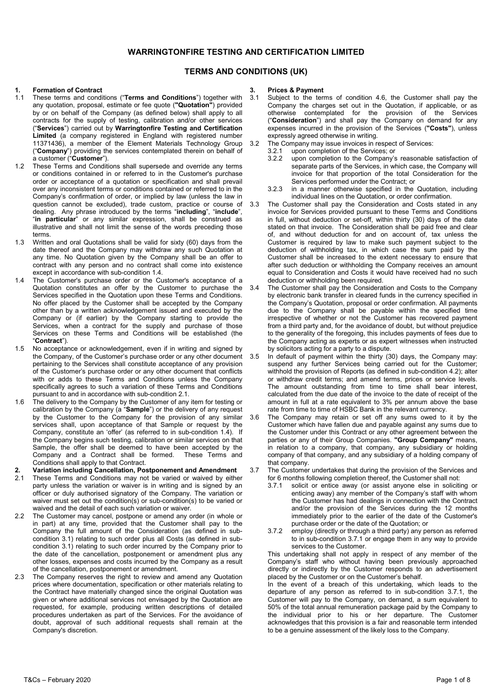# **WARRINGTONFIRE TESTING AND CERTIFICATION LIMITED**

# **TERMS AND CONDITIONS (UK)**

# **1.** Formation of Contract<br>**11** These terms and condit

- 1.1 These terms and conditions ("**Terms and Conditions**") together with any quotation, proposal, estimate or fee quote (**"Quotation"**) provided by or on behalf of the Company (as defined below) shall apply to all contracts for the supply of testing, calibration and/or other services ("**Services**") carried out by **Warringtonfire Testing and Certification Limited** (a company registered in England with registered number 11371436), a member of the Element Materials Technology Group ("**Company**") providing the services contemplated therein on behalf of a customer ("**Customer**").
- 1.2 These Terms and Conditions shall supersede and override any terms or conditions contained in or referred to in the Customer's purchase order or acceptance of a quotation or specification and shall prevail over any inconsistent terms or conditions contained or referred to in the Company's confirmation of order, or implied by law (unless the law in question cannot be excluded), trade custom, practice or course of dealing. Any phrase introduced by the terms "**including**", "**include**", "**in particular**" or any similar expression, shall be construed as illustrative and shall not limit the sense of the words preceding those terms.
- 1.3 Written and oral Quotations shall be valid for sixty (60) days from the date thereof and the Company may withdraw any such Quotation at any time. No Quotation given by the Company shall be an offer to contract with any person and no contract shall come into existence except in accordance with sub-condition 1.4.
- 1.4 The Customer's purchase order or the Customer's acceptance of a Quotation constitutes an offer by the Customer to purchase the Services specified in the Quotation upon these Terms and Conditions. No offer placed by the Customer shall be accepted by the Company other than by a written acknowledgement issued and executed by the Company or (if earlier) by the Company starting to provide the Services, when a contract for the supply and purchase of those Services on these Terms and Conditions will be established (the "**Contract**").
- 1.5 No acceptance or acknowledgement, even if in writing and signed by the Company, of the Customer's purchase order or any other document pertaining to the Services shall constitute acceptance of any provision of the Customer's purchase order or any other document that conflicts with or adds to these Terms and Conditions unless the Company specifically agrees to such a variation of these Terms and Conditions pursuant to and in accordance with sub-condition 2.1.
- 1.6 The delivery to the Company by the Customer of any item for testing or calibration by the Company (a "**Sample**") or the delivery of any request by the Customer to the Company for the provision of any similar services shall, upon acceptance of that Sample or request by the Company, constitute an 'offer' (as referred to in sub-condition 1.4). If the Company begins such testing, calibration or similar services on that Sample, the offer shall be deemed to have been accepted by the<br>Company and a Contract shall be formed. These Terms and Company and a Contract shall be formed. Conditions shall apply to that Contract.
- **2. Variation including Cancellation, Postponement and Amendment**<br>2.1 These Terms and Conditions may not be varied or waived by either
- These Terms and Conditions may not be varied or waived by either party unless the variation or waiver is in writing and is signed by an officer or duly authorised signatory of the Company. The variation or waiver must set out the condition(s) or sub-condition(s) to be varied or waived and the detail of each such variation or waiver.
- 2.2 The Customer may cancel, postpone or amend any order (in whole or in part) at any time, provided that the Customer shall pay to the Company the full amount of the Consideration (as defined in subcondition 3.1) relating to such order plus all Costs (as defined in subcondition 3.1) relating to such order incurred by the Company prior to the date of the cancellation, postponement or amendment plus any other losses, expenses and costs incurred by the Company as a result of the cancellation, postponement or amendment.
- 2.3 The Company reserves the right to review and amend any Quotation prices where documentation, specification or other materials relating to the Contract have materially changed since the original Quotation was given or where additional services not envisaged by the Quotation are requested, for example, producing written descriptions of detailed procedures undertaken as part of the Services. For the avoidance of doubt, approval of such additional requests shall remain at the Company's discretion.

# **3. Prices & Payment**

- Subject to the terms of condition 4.6, the Customer shall pay the Company the charges set out in the Quotation, if applicable, or as otherwise contemplated for the provision of the Services ("**Consideration**") and shall pay the Company on demand for any expenses incurred in the provision of the Services (**"Costs"**), unless expressly agreed otherwise in writing.
- 3.2 The Company may issue invoices in respect of Services:<br>3.2.1 upon completion of the Services: or
	- 3.2.1 upon completion of the Services; or<br>3.2.2 upon completion to the Company's
		- upon completion to the Company's reasonable satisfaction of separate parts of the Services, in which case, the Company will invoice for that proportion of the total Consideration for the Services performed under the Contract; or
		- 3.2.3 in a manner otherwise specified in the Quotation, including individual lines on the Quotation, or order confirmation.
- 3.3 The Customer shall pay the Consideration and Costs stated in any invoice for Services provided pursuant to these Terms and Conditions in full, without deduction or set-off, within thirty (30) days of the date stated on that invoice. The Consideration shall be paid free and clear of, and without deduction for and on account of, tax unless the Customer is required by law to make such payment subject to the deduction of withholding tax, in which case the sum paid by the Customer shall be increased to the extent necessary to ensure that after such deduction or withholding the Company receives an amount equal to Consideration and Costs it would have received had no such deduction or withholding been required.
- The Customer shall pay the Consideration and Costs to the Company by electronic bank transfer in cleared funds in the currency specified in the Company's Quotation, proposal or order confirmation. All payments due to the Company shall be payable within the specified time irrespective of whether or not the Customer has recovered payment from a third party and, for the avoidance of doubt, but without prejudice to the generality of the foregoing, this includes payments of fees due to the Company acting as experts or as expert witnesses when instructed by solicitors acting for a party to a dispute.
- 3.5 In default of payment within the thirty (30) days, the Company may: suspend any further Services being carried out for the Customer; withhold the provision of Reports (as defined in sub-condition 4.2); alter or withdraw credit terms; and amend terms, prices or service levels. The amount outstanding from time to time shall bear interest, calculated from the due date of the invoice to the date of receipt of the amount in full at a rate equivalent to 3% per annum above the base rate from time to time of HSBC Bank in the relevant currency.
- 3.6 The Company may retain or set off any sums owed to it by the Customer which have fallen due and payable against any sums due to the Customer under this Contract or any other agreement between the parties or any of their Group Companies. **"Group Company"** means, in relation to a company, that company, any subsidiary or holding company of that company, and any subsidiary of a holding company of that company.
- 3.7 The Customer undertakes that during the provision of the Services and for 6 months following completion thereof, the Customer shall not:<br>3.7.1 solicit or entice away (or assist anyone else in soliciti
	- solicit or entice away (or assist anyone else in soliciting or enticing away) any member of the Company's staff with whom the Customer has had dealings in connection with the Contract and/or the provision of the Services during the 12 months immediately prior to the earlier of the date of the Customer's purchase order or the date of the Quotation; or
	- 3.7.2 employ (directly or through a third party) any person as referred to in sub-condition 3.7.1 or engage them in any way to provide services to the Customer.

This undertaking shall not apply in respect of any member of the Company's staff who without having been previously approached directly or indirectly by the Customer responds to an advertisement placed by the Customer or on the Customer's behalf.

In the event of a breach of this undertaking, which leads to the departure of any person as referred to in sub-condition 3.7.1, the Customer will pay to the Company, on demand, a sum equivalent to 50% of the total annual remuneration package paid by the Company to the individual prior to his or her departure. The Customer acknowledges that this provision is a fair and reasonable term intended to be a genuine assessment of the likely loss to the Company.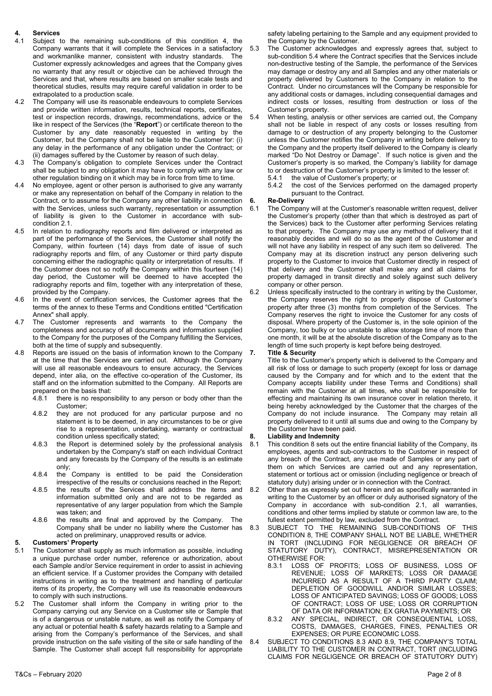# **4. Services**

- Subject to the remaining sub-conditions of this condition 4, the Company warrants that it will complete the Services in a satisfactory and workmanlike manner, consistent with industry standards. The Customer expressly acknowledges and agrees that the Company gives no warranty that any result or objective can be achieved through the Services and that, where results are based on smaller scale tests and theoretical studies, results may require careful validation in order to be extrapolated to a production scale.
- 4.2 The Company will use its reasonable endeavours to complete Services and provide written information, results, technical reports, certificates, test or inspection records, drawings, recommendations, advice or the like in respect of the Services (the "**Report**") or certificate thereon to the Customer by any date reasonably requested in writing by the Customer, but the Company shall not be liable to the Customer for: (i) any delay in the performance of any obligation under the Contract; or (ii) damages suffered by the Customer by reason of such delay.
- The Company's obligation to complete Services under the Contract shall be subject to any obligation it may have to comply with any law or other regulation binding on it which may be in force from time to time.
- 4.4 No employee, agent or other person is authorised to give any warranty or make any representation on behalf of the Company in relation to the Contract, or to assume for the Company any other liability in connection with the Services, unless such warranty, representation or assumption of liability is given to the Customer in accordance with subcondition 2.1.
- 4.5 In relation to radiography reports and film delivered or interpreted as part of the performance of the Services, the Customer shall notify the Company, within fourteen (14) days from date of issue of such radiography reports and film, of any Customer or third party dispute concerning either the radiographic quality or interpretation of results. If the Customer does not so notify the Company within this fourteen (14) day period, the Customer will be deemed to have accepted the radiography reports and film, together with any interpretation of these, provided by the Company.
- 4.6 In the event of certification services, the Customer agrees that the terms of the annex to these Terms and Conditions entitled "Certification Annex" shall apply.
- 4.7 The Customer represents and warrants to the Company the completeness and accuracy of all documents and information supplied to the Company for the purposes of the Company fulfilling the Services, both at the time of supply and subsequently.
- 4.8 Reports are issued on the basis of information known to the Company at the time that the Services are carried out. Although the Company will use all reasonable endeavours to ensure accuracy, the Services depend, inter alia, on the effective co-operation of the Customer, its staff and on the information submitted to the Company. All Reports are prepared on the basis that:
	- 4.8.1 there is no responsibility to any person or body other than the Customer;
	- 4.8.2 they are not produced for any particular purpose and no statement is to be deemed, in any circumstances to be or give rise to a representation, undertaking, warranty or contractual condition unless specifically stated;
	- 4.8.3 the Report is determined solely by the professional analysis undertaken by the Company's staff on each individual Contract and any forecasts by the Company of the results is an estimate only;
	- 4.8.4 the Company is entitled to be paid the Consideration irrespective of the results or conclusions reached in the Report;
	- 4.8.5 the results of the Services shall address the items and information submitted only and are not to be regarded as representative of any larger population from which the Sample was taken; and
	- 4.8.6 the results are final and approved by the Company. The Company shall be under no liability where the Customer has acted on preliminary, unapproved results or advice.

# **5.** Customers' Property<br>5.1 The Customer shall su

- The Customer shall supply as much information as possible, including a unique purchase order number, reference or authorization, about each Sample and/or Service requirement in order to assist in achieving an efficient service. If a Customer provides the Company with detailed instructions in writing as to the treatment and handling of particular items of its property, the Company will use its reasonable endeavours to comply with such instructions.
- 5.2 The Customer shall inform the Company in writing prior to the Company carrying out any Service on a Customer site or Sample that is of a dangerous or unstable nature, as well as notify the Company of any actual or potential health & safety hazards relating to a Sample and arising from the Company's performance of the Services, and shall provide instruction on the safe visiting of the site or safe handling of the Sample. The Customer shall accept full responsibility for appropriate

safety labeling pertaining to the Sample and any equipment provided to the Company by the Customer.

- 5.3 The Customer acknowledges and expressly agrees that, subject to sub-condition 5.4 where the Contract specifies that the Services include non-destructive testing of the Sample, the performance of the Services may damage or destroy any and all Samples and any other materials or property delivered by Customers to the Company in relation to the Contract. Under no circumstances will the Company be responsible for any additional costs or damages, including consequential damages and indirect costs or losses, resulting from destruction or loss of the Customer's property.
- 5.4 When testing, analysis or other services are carried out, the Company shall not be liable in respect of any costs or losses resulting from damage to or destruction of any property belonging to the Customer unless the Customer notifies the Company in writing before delivery to the Company and the property itself delivered to the Company is clearly marked "Do Not Destroy or Damage". If such notice is given and the Customer's property is so marked, the Company's liability for damage to or destruction of the Customer's property is limited to the lesser of:
	- 5.4.1 the value of Customer's property; or 5.4.2 the cost of the Services performed
	- the cost of the Services performed on the damaged property pursuant to the Contract.

#### **6. Re-Delivery**

6.1 The Company will at the Customer's reasonable written request, deliver the Customer's property (other than that which is destroyed as part of the Services) back to the Customer after performing Services relating to that property. The Company may use any method of delivery that it reasonably decides and will do so as the agent of the Customer and will not have any liability in respect of any such item so delivered. The Company may at its discretion instruct any person delivering such property to the Customer to invoice that Customer directly in respect of that delivery and the Customer shall make any and all claims for property damaged in transit directly and solely against such delivery company or other person.

6.2 Unless specifically instructed to the contrary in writing by the Customer, the Company reserves the right to properly dispose of Customer's property after three (3) months from completion of the Services. The Company reserves the right to invoice the Customer for any costs of disposal. Where property of the Customer is, in the sole opinion of the Company, too bulky or too unstable to allow storage time of more than one month, it will be at the absolute discretion of the Company as to the length of time such property is kept before being destroyed.

#### **7. Title & Security**

Title to the Customer's property which is delivered to the Company and all risk of loss or damage to such property (except for loss or damage caused by the Company and for which and to the extent that the Company accepts liability under these Terms and Conditions) shall remain with the Customer at all times, who shall be responsible for effecting and maintaining its own insurance cover in relation thereto, it being hereby acknowledged by the Customer that the charges of the Company do not include insurance. The Company may retain all property delivered to it until all sums due and owing to the Company by the Customer have been paid.

#### **8. Liability and Indemnity**

- 8.1 This condition 8 sets out the entire financial liability of the Company, its employees, agents and sub-contractors to the Customer in respect of any breach of the Contract, any use made of Samples or any part of them on which Services are carried out and any representation, statement or tortious act or omission (including negligence or breach of statutory duty) arising under or in connection with the Contract.
- Other than as expressly set out herein and as specifically warranted in writing to the Customer by an officer or duly authorised signatory of the Company in accordance with sub-condition 2.1, all warranties, conditions and other terms implied by statute or common law are, to the fullest extent permitted by law, excluded from the Contract.
- 8.3 SUBJECT TO THE REMAINING SUB-CONDITIONS OF THIS CONDITION 8, THE COMPANY SHALL NOT BE LIABLE, WHETHER IN TORT (INCLUDING FOR NEGLIGENCE OR BREACH OF STATUTORY DUTY), CONTRACT, MISREPRESENTATION OR OTHERWISE FOR:
	- 8.3.1 LOSS OF PROFITS; LOSS OF BUSINESS, LOSS OF REVENUE; LOSS OF MARKETS; LOSS OR DAMAGE INCURRED AS A RESULT OF A THIRD PARTY CLAIM; DEPLETION OF GOODWILL AND/OR SIMILAR LOSSES; LOSS OF ANTICIPATED SAVINGS; LOSS OF GOODS; LOSS OF CONTRACT; LOSS OF USE; LOSS OR CORRUPTION OF DATA OR INFORMATION; EX GRATIA PAYMENTS; OR
	- 8.3.2 ANY SPECIAL, INDIRECT, OR CONSEQUENTIAL LOSS, COSTS, DAMAGES, CHARGES, FINES, PENALTIES OR EXPENSES; OR PURE ECONOMIC LOSS.
- 8.4 SUBJECT TO CONDITIONS 8.3 AND 8.9, THE COMPANY'S TOTAL LIABILITY TO THE CUSTOMER IN CONTRACT, TORT (INCLUDING CLAIMS FOR NEGLIGENCE OR BREACH OF STATUTORY DUTY)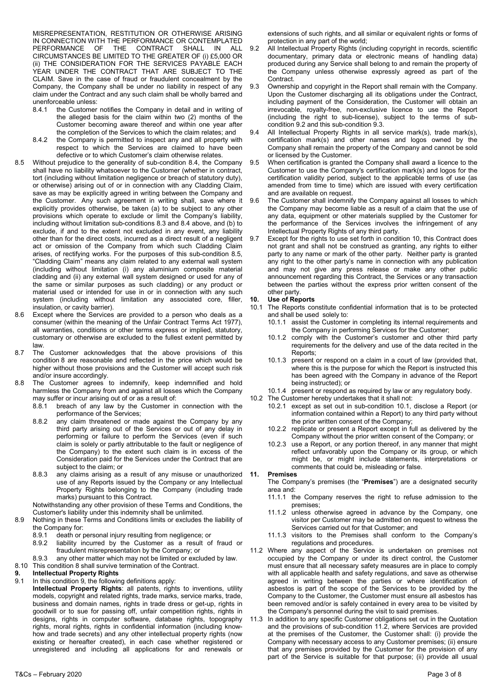MISREPRESENTATION, RESTITUTION OR OTHERWISE ARISING IN CONNECTION WITH THE PERFORMANCE OR CONTEMPLATED PERFORMANCE OF THE CONTRACT SHALL IN ALL CIRCUMSTANCES BE LIMITED TO THE GREATER OF (i) £5,000 OR (ii) THE CONSIDERATION FOR THE SERVICES PAYABLE EACH YEAR UNDER THE CONTRACT THAT ARE SUBJECT TO THE CLAIM. Save in the case of fraud or fraudulent concealment by the Company, the Company shall be under no liability in respect of any claim under the Contract and any such claim shall be wholly barred and unenforceable unless:

- 8.4.1 the Customer notifies the Company in detail and in writing of the alleged basis for the claim within two (2) months of the Customer becoming aware thereof and within one year after the completion of the Services to which the claim relates; and
- 8.4.2 the Company is permitted to inspect any and all property with respect to which the Services are claimed to have been defective or to which Customer's claim otherwise relates.
- 8.5 Without prejudice to the generality of sub-condition 8.4, the Company shall have no liability whatsoever to the Customer (whether in contract, tort (including without limitation negligence or breach of statutory duty), or otherwise) arising out of or in connection with any Cladding Claim, save as may be explicitly agreed in writing between the Company and the Customer. Any such agreement in writing shall, save where it explicitly provides otherwise, be taken (a) to be subject to any other provisions which operate to exclude or limit the Company's liability, including without limitation sub-conditions 8.3 and 8.4 above, and (b) to exclude, if and to the extent not excluded in any event, any liability other than for the direct costs, incurred as a direct result of a negligent act or omission of the Company from which such Cladding Claim arises, of rectifying works. For the purposes of this sub-condition 8.5, "Cladding Claim" means any claim related to any external wall system (including without limitation (i) any aluminium composite material cladding and (ii) any external wall system designed or used for any of the same or similar purposes as such cladding) or any product or material used or intended for use in or in connection with any such system (including without limitation any associated core, filler, insulation, or cavity barrier).
- 8.6 Except where the Services are provided to a person who deals as a consumer (within the meaning of the Unfair Contract Terms Act 1977), all warranties, conditions or other terms express or implied, statutory, customary or otherwise are excluded to the fullest extent permitted by law.
- 8.7 The Customer acknowledges that the above provisions of this condition 8 are reasonable and reflected in the price which would be higher without those provisions and the Customer will accept such risk and/or insure accordingly.

8.8 The Customer agrees to indemnify, keep indemnified and hold harmless the Company from and against all losses which the Company may suffer or incur arising out of or as a result of:<br>8.8.1 breach of any law by the Customer in

- breach of any law by the Customer in connection with the performance of the Services;
- 8.8.2 any claim threatened or made against the Company by any third party arising out of the Services or out of any delay in performing or failure to perform the Services (even if such claim is solely or partly attributable to the fault or negligence of the Company) to the extent such claim is in excess of the Consideration paid for the Services under the Contract that are subject to the claim; or
- 8.8.3 any claims arising as a result of any misuse or unauthorized use of any Reports issued by the Company or any Intellectual Property Rights belonging to the Company (including trade marks) pursuant to this Contract.

Notwithstanding any other provision of these Terms and Conditions, the Customer's liability under this indemnity shall be unlimited.

- 8.9 Nothing in these Terms and Conditions limits or excludes the liability of the Company for:
	-
	- 8.9.1 death or personal injury resulting from negligence; or 8.9.2 liability incurred by the Customer as a result of liability incurred by the Customer as a result of fraud or
	- fraudulent misrepresentation by the Company; or
- 8.9.3 any other matter which may not be limited or excluded by law. 8.10 This condition 8 shall survive termination of the Contract.

- **9. Intellectual Property Rights**<br>**9.1** In this condition 9, the followin In this condition 9, the following definitions apply:
	- **Intellectual Property Rights**: all patents, rights to inventions, utility models, copyright and related rights, trade marks, service marks, trade, business and domain names, rights in trade dress or get-up, rights in goodwill or to sue for passing off, unfair competition rights, rights in designs, rights in computer software, database rights, topography rights, moral rights, rights in confidential information (including knowhow and trade secrets) and any other intellectual property rights (now existing or hereafter created), in each case whether registered or unregistered and including all applications for and renewals or

extensions of such rights, and all similar or equivalent rights or forms of protection in any part of the world;

- 9.2 All Intellectual Property Rights (including copyright in records, scientific documentary, primary data or electronic means of handling data) produced during any Service shall belong to and remain the property of the Company unless otherwise expressly agreed as part of the Contract.
- 9.3 Ownership and copyright in the Report shall remain with the Company. Upon the Customer discharging all its obligations under the Contract, including payment of the Consideration, the Customer will obtain an irrevocable, royalty-free, non-exclusive licence to use the Report (including the right to sub-license), subject to the terms of subcondition 9.2 and this sub-condition 9.3.
- All Intellectual Property Rights in all service mark(s), trade mark(s), certification mark(s) and other names and logos owned by the Company shall remain the property of the Company and cannot be sold or licensed by the Customer.
- When certification is granted the Company shall award a licence to the Customer to use the Company's certification mark(s) and logos for the certification validity period, subject to the applicable terms of use (as amended from time to time) which are issued with every certification and are available on request.
- 9.6 The Customer shall indemnify the Company against all losses to which the Company may become liable as a result of a claim that the use of any data, equipment or other materials supplied by the Customer for the performance of the Services involves the infringement of any Intellectual Property Rights of any third party.
- Except for the rights to use set forth in condition 10, this Contract does not grant and shall not be construed as granting, any rights to either party to any name or mark of the other party. Neither party is granted any right to the other party's name in connection with any publication and may not give any press release or make any other public announcement regarding this Contract, the Services or any transaction between the parties without the express prior written consent of the other party.

## **10. Use of Reports**

- 10.1 The Reports constitute confidential information that is to be protected and shall be used solely to:
	- 10.1.1 assist the Customer in completing its internal requirements and the Company in performing Services for the Customer;
	- 10.1.2 comply with the Customer's customer and other third party requirements for the delivery and use of the data recited in the Reports;
	- 10.1.3 present or respond on a claim in a court of law (provided that, where this is the purpose for which the Report is instructed this has been agreed with the Company in advance of the Report being instructed); or
	- 10.1.4 present or respond as required by law or any regulatory body.
- 10.2 The Customer hereby undertakes that it shall not:
	- 10.2.1 except as set out in sub-condition 10.1, disclose a Report (or information contained within a Report) to any third party without the prior written consent of the Company;
	- 10.2.2 replicate or present a Report except in full as delivered by the Company without the prior written consent of the Company; or
	- 10.2.3 use a Report, or any portion thereof, in any manner that might reflect unfavorably upon the Company or its group, or which might be, or might include statements, interpretations or comments that could be, misleading or false.

#### **11. Premises**

The Company's premises (the "**Premises**") are a designated security area and:

- 11.1.1 the Company reserves the right to refuse admission to the premises;
- 11.1.2 unless otherwise agreed in advance by the Company, one visitor per Customer may be admitted on request to witness the Services carried out for that Customer; and
- 11.1.3 visitors to the Premises shall conform to the Company's regulations and procedures.
- 11.2 Where any aspect of the Service is undertaken on premises not occupied by the Company or under its direct control, the Customer must ensure that all necessary safety measures are in place to comply with all applicable health and safety regulations, and save as otherwise agreed in writing between the parties or where identification of asbestos is part of the scope of the Services to be provided by the Company to the Customer, the Customer must ensure all asbestos has been removed and/or is safely contained in every area to be visited by the Company's personnel during the visit to said premises.
- 11.3 In addition to any specific Customer obligations set out in the Quotation and the provisions of sub-condition 11.2, where Services are provided at the premises of the Customer, the Customer shall: (i) provide the Company with necessary access to any Customer premises; (ii) ensure that any premises provided by the Customer for the provision of any part of the Service is suitable for that purpose; (ii) provide all usual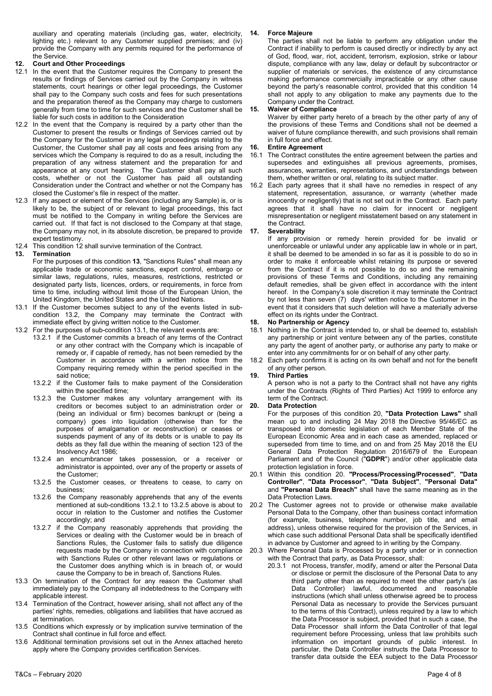auxiliary and operating materials (including gas, water, electricity, lighting etc.) relevant to any Customer supplied premises; and (iv) provide the Company with any permits required for the performance of the Service.

#### **12. Court and Other Proceedings**

- 12.1 In the event that the Customer requires the Company to present the results or findings of Services carried out by the Company in witness statements, court hearings or other legal proceedings, the Customer shall pay to the Company such costs and fees for such presentations and the preparation thereof as the Company may charge to customers generally from time to time for such services and the Customer shall be liable for such costs in addition to the Consideration
- 12.2 In the event that the Company is required by a party other than the Customer to present the results or findings of Services carried out by the Company for the Customer in any legal proceedings relating to the Customer, the Customer shall pay all costs and fees arising from any services which the Company is required to do as a result, including the preparation of any witness statement and the preparation for and appearance at any court hearing. The Customer shall pay all such costs, whether or not the Customer has paid all outstanding Consideration under the Contract and whether or not the Company has closed the Customer's file in respect of the matter.
- 12.3 If any aspect or element of the Services (including any Sample) is, or is likely to be, the subject of or relevant to legal proceedings, this fact must be notified to the Company in writing before the Services are carried out. If that fact is not disclosed to the Company at that stage, the Company may not, in its absolute discretion, be prepared to provide expert testimony.
- 12.4 This condition 12 shall survive termination of the Contract.<br>13. Termination

#### **13. Termination**

For the purposes of this condition **13**, "Sanctions Rules" shall mean any applicable trade or economic sanctions, export control, embargo or similar laws, regulations, rules, measures, restrictions, restricted or designated party lists, licences, orders, or requirements, in force from time to time, including without limit those of the European Union, the United Kingdom, the United States and the United Nations.

- 13.1 If the Customer becomes subject to any of the events listed in subcondition 13.2, the Company may terminate the Contract with immediate effect by giving written notice to the Customer.
- 13.2 For the purposes of sub-condition 13.1, the relevant events are:
	- 13.2.1 if the Customer commits a breach of any terms of the Contract or any other contract with the Company which is incapable of remedy or, if capable of remedy, has not been remedied by the Customer in accordance with a written notice from the Company requiring remedy within the period specified in the said notice;
		- 13.2.2 if the Customer fails to make payment of the Consideration within the specified time;
		- 13.2.3 the Customer makes any voluntary arrangement with its creditors or becomes subject to an administration order or (being an individual or firm) becomes bankrupt or (being a company) goes into liquidation (otherwise than for the purposes of amalgamation or reconstruction) or ceases or suspends payment of any of its debts or is unable to pay its debts as they fall due within the meaning of section 123 of the Insolvency Act 1986;
		- 13.2.4 an encumbrancer takes possession, or a receiver or administrator is appointed, over any of the property or assets of the Customer;
		- 13.2.5 the Customer ceases, or threatens to cease, to carry on business;
		- 13.2.6 the Company reasonably apprehends that any of the events mentioned at sub-conditions 13.2.1 to 13.2.5 above is about to occur in relation to the Customer and notifies the Customer accordingly; and
		- 13.2.7 if the Company reasonably apprehends that providing the Services or dealing with the Customer would be in breach of Sanctions Rules, the Customer fails to satisfy due diligence requests made by the Company in connection with compliance with Sanctions Rules or other relevant laws or regulations or the Customer does anything which is in breach of, or would cause the Company to be in breach of, Sanctions Rules.
- 13.3 On termination of the Contract for any reason the Customer shall immediately pay to the Company all indebtedness to the Company with applicable interest.
- 13.4 Termination of the Contract, however arising, shall not affect any of the parties' rights, remedies, obligations and liabilities that have accrued as at termination.
- 13.5 Conditions which expressly or by implication survive termination of the Contract shall continue in full force and effect.
- 13.6 Additional termination provisions set out in the Annex attached hereto apply where the Company provides certification Services.

# **14. Force Majeure**

The parties shall not be liable to perform any obligation under the Contract if inability to perform is caused directly or indirectly by any act of God, flood, war, riot, accident, terrorism, explosion, strike or labour dispute, compliance with any law, delay or default by subcontractor or supplier of materials or services, the existence of any circumstance making performance commercially impracticable or any other cause beyond the party's reasonable control, provided that this condition 14 shall not apply to any obligation to make any payments due to the Company under the Contract.

#### **15. Waiver of Compliance**

Waiver by either party hereto of a breach by the other party of any of the provisions of these Terms and Conditions shall not be deemed a waiver of future compliance therewith, and such provisions shall remain in full force and effect.

#### **16. Entire Agreement**

- 16.1 The Contract constitutes the entire agreement between the parties and supersedes and extinguishes all previous agreements, promises, assurances, warranties, representations, and understandings between them, whether written or oral, relating to its subject matter.
- 16.2 Each party agrees that it shall have no remedies in respect of any statement, representation, assurance, or warranty (whether made innocently or negligently) that is not set out in the Contract. Each party agrees that it shall have no claim for innocent or negligent misrepresentation or negligent misstatement based on any statement in the Contract.

# **17. Severability**

If any provision or remedy herein provided for be invalid or unenforceable or unlawful under any applicable law in whole or in part, it shall be deemed to be amended in so far as it is possible to do so in order to make it enforceable whilst retaining its purpose or severed from the Contract if it is not possible to do so and the remaining provisions of these Terms and Conditions, including any remaining default remedies, shall be given effect in accordance with the intent hereof. In the Company's sole discretion it may terminate the Contract by not less than seven (7) days' written notice to the Customer in the event that it considers that such deletion will have a materially adverse effect on its rights under the Contract.

#### **18. No Partnership or Agency**

- 18.1 Nothing in the Contract is intended to, or shall be deemed to, establish any partnership or joint venture between any of the parties, constitute any party the agent of another party, or authorise any party to make or enter into any commitments for or on behalf of any other party.
- 18.2 Each party confirms it is acting on its own behalf and not for the benefit of any other person.

#### **19. Third Parties**

A person who is not a party to the Contract shall not have any rights under the Contracts (Rights of Third Parties) Act 1999 to enforce any term of the Contract.

#### **20. Data Protection**

For the purposes of this condition 20, **"Data Protection Laws"** shall mean up to and including 24 May 2018 the Directive 95/46/EC as transposed into domestic legislation of each Member State of the European Economic Area and in each case as amended, replaced or superseded from time to time, and on and from 25 May 2018 the EU General Data Protection Regulation 2016/679 of the European Parliament and of the Council ("**GDPR**") and/or other applicable data protection legislation in force.

- 20.1 Within this condition 20. **"Process/Processing/Processed"**, **"Data Controller"**, **"Data Processor"**, **"Data Subject"**, **"Personal Data"** and **"Personal Data Breach"** shall have the same meaning as in the Data Protection Laws.
- 20.2 The Customer agrees not to provide or otherwise make available Personal Data to the Company, other than business contact information (for example, business, telephone number, job title, and email address), unless otherwise required for the provision of the Services, in which case such additional Personal Data shall be specifically identified in advance by Customer and agreed to in writing by the Company.
- 20.3 Where Personal Data is Processed by a party under or in connection with the Contract that party, as Data Processor, shall:
	- 20.3.1 not Process, transfer, modify, amend or alter the Personal Data or disclose or permit the disclosure of the Personal Data to any third party other than as required to meet the other party's (as Data Controller) lawful, documented and reasonable instructions (which shall unless otherwise agreed be to process Personal Data as necessary to provide the Services pursuant to the terms of this Contract), unless required by a law to which the Data Processor is subject, provided that in such a case, the Data Processor shall inform the Data Controller of that legal requirement before Processing, unless that law prohibits such information on important grounds of public interest. In particular, the Data Controller instructs the Data Processor to transfer data outside the EEA subject to the Data Processor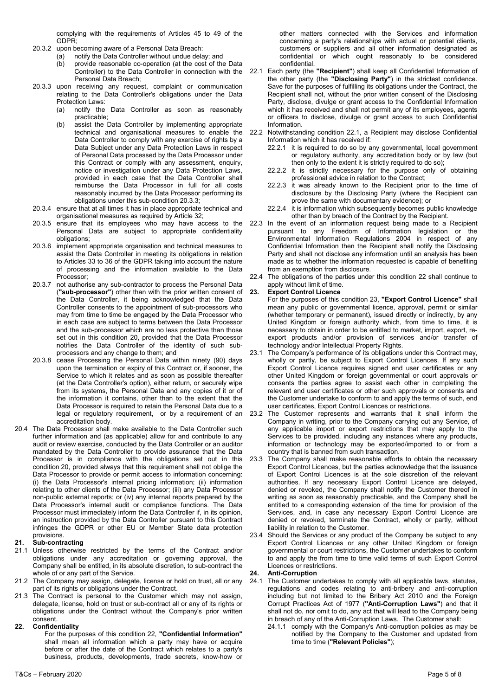complying with the requirements of Articles 45 to 49 of the GDPR;

- 20.3.2 upon becoming aware of a Personal Data Breach:
	- (a) notify the Data Controller without undue delay; and
	- (b) provide reasonable co-operation (at the cost of the Data Controller) to the Data Controller in connection with the Personal Data Breach;
- 20.3.3 upon receiving any request, complaint or communication relating to the Data Controller's obligations under the Data Protection Laws:
	- (a) notify the Data Controller as soon as reasonably practicable;
	- (b) assist the Data Controller by implementing appropriate technical and organisational measures to enable the Data Controller to comply with any exercise of rights by a Data Subject under any Data Protection Laws in respect of Personal Data processed by the Data Processor under this Contract or comply with any assessment, enquiry, notice or investigation under any Data Protection Laws, provided in each case that the Data Controller shall reimburse the Data Processor in full for all costs reasonably incurred by the Data Processor performing its obligations under this sub-condition 20.3.3;
- 20.3.4 ensure that at all times it has in place appropriate technical and organisational measures as required by Article 32;
- 20.3.5 ensure that its employees who may have access to the Personal Data are subject to appropriate confidentiality obligations;
- 20.3.6 implement appropriate organisation and technical measures to assist the Data Controller in meeting its obligations in relation to Articles 33 to 36 of the GDPR taking into account the nature of processing and the information available to the Data Processor;
- 20.3.7 not authorise any sub-contractor to process the Personal Data (**"sub-processor"**) other than with the prior written consent of the Data Controller, it being acknowledged that the Data Controller consents to the appointment of sub-processors who may from time to time be engaged by the Data Processor who in each case are subject to terms between the Data Processor and the sub-processor which are no less protective than those set out in this condition 20, provided that the Data Processor notifies the Data Controller of the identity of such subprocessors and any change to them; and
- 20.3.8 cease Processing the Personal Data within ninety (90) days upon the termination or expiry of this Contract or, if sooner, the Service to which it relates and as soon as possible thereafter (at the Data Controller's option), either return, or securely wipe from its systems, the Personal Data and any copies of it or of the information it contains, other than to the extent that the Data Processor is required to retain the Personal Data due to a legal or regulatory requirement, or by a requirement of an accreditation body.
- 20.4 The Data Processor shall make available to the Data Controller such further information and (as applicable) allow for and contribute to any audit or review exercise, conducted by the Data Controller or an auditor mandated by the Data Controller to provide assurance that the Data Processor is in compliance with the obligations set out in this condition 20, provided always that this requirement shall not oblige the Data Processor to provide or permit access to information concerning: (i) the Data Processor's internal pricing information; (ii) information relating to other clients of the Data Processor; (iii) any Data Processor non-public external reports; or (iv) any internal reports prepared by the Data Processor's internal audit or compliance functions. The Data Processor must immediately inform the Data Controller if, in its opinion, an instruction provided by the Data Controller pursuant to this Contract infringes the GDPR or other EU or Member State data protection provisions.

## **21. Sub-contracting**

- 21.1 Unless otherwise restricted by the terms of the Contract and/or obligations under any accreditation or governing approval, the Company shall be entitled, in its absolute discretion, to sub-contract the whole of or any part of the Service.
- 21.2 The Company may assign, delegate, license or hold on trust, all or any part of its rights or obligations under the Contract.
- 21.3 The Contract is personal to the Customer which may not assign, delegate, license, hold on trust or sub-contract all or any of its rights or obligations under the Contract without the Company's prior written consent.

# **22. Confidentiality**

For the purposes of this condition 22, **"Confidential Information"** shall mean all information which a party may have or acquire before or after the date of the Contract which relates to a party's business, products, developments, trade secrets, know-how or other matters connected with the Services and information concerning a party's relationships with actual or potential clients, customers or suppliers and all other information designated as confidential or which ought reasonably to be considered confidential.

- 22.1 Each party (the **"Recipient"**) shall keep all Confidential Information of the other party (the **"Disclosing Party"**) in the strictest confidence. Save for the purposes of fulfilling its obligations under the Contract, the Recipient shall not, without the prior written consent of the Disclosing Party, disclose, divulge or grant access to the Confidential Information which it has received and shall not permit any of its employees, agents or officers to disclose, divulge or grant access to such Confidential Information.
- 22.2 Notwithstanding condition 22.1, a Recipient may disclose Confidential Information which it has received if:
	- 22.2.1 it is required to do so by any governmental, local government or regulatory authority, any accreditation body or by law (but then only to the extent it is strictly required to do so);
	- 22.2.2 it is strictly necessary for the purpose only of obtaining professional advice in relation to the Contract;
	- 22.2.3 it was already known to the Recipient prior to the time of disclosure by the Disclosing Party (where the Recipient can prove the same with documentary evidence); or
	- 22.2.4 it is information which subsequently becomes public knowledge other than by breach of the Contract by the Recipient.
- 22.3 In the event of an information request being made to a Recipient pursuant to any Freedom of Information legislation or the Environmental Information Regulations 2004 in respect of any Confidential Information then the Recipient shall notify the Disclosing Party and shall not disclose any information until an analysis has been made as to whether the information requested is capable of benefiting from an exemption from disclosure.
- 22.4 The obligations of the parties under this condition 22 shall continue to apply without limit of time.

## **Export Control Licence**

- For the purposes of this condition 23, **"Export Control Licence"** shall mean any public or governmental licence, approval, permit or similar (whether temporary or permanent), issued directly or indirectly, by any United Kingdom or foreign authority which, from time to time, it is necessary to obtain in order to be entitled to market, import, export, reexport products and/or provision of services and/or transfer of technology and/or Intellectual Property Rights.
- 23.1 The Company's performance of its obligations under this Contract may, wholly or partly, be subject to Export Control Licences. If any such Export Control Licence requires signed end user certificates or any other United Kingdom or foreign governmental or court approvals or consents the parties agree to assist each other in completing the relevant end user certificates or other such approvals or consents and the Customer undertake to conform to and apply the terms of such, end user certificates, Export Control Licences or restrictions.
- 23.2 The Customer represents and warrants that it shall inform the Company in writing, prior to the Company carrying out any Service, of any applicable import or export restrictions that may apply to the Services to be provided, including any instances where any products, information or technology may be exported/imported to or from a country that is banned from such transaction.
- 23.3 The Company shall make reasonable efforts to obtain the necessary Export Control Licences, but the parties acknowledge that the issuance of Export Control Licences is at the sole discretion of the relevant authorities. If any necessary Export Control Licence are delayed, denied or revoked, the Company shall notify the Customer thereof in writing as soon as reasonably practicable, and the Company shall be entitled to a corresponding extension of the time for provision of the Services, and, in case any necessary Export Control Licence are denied or revoked, terminate the Contract, wholly or partly, without liability in relation to the Customer.
- 23.4 Should the Services or any product of the Company be subject to any Export Control Licences or any other United Kingdom or foreign governmental or court restrictions, the Customer undertakes to conform to and apply the from time to time valid terms of such Export Control Licences or restrictions.

## **24. Anti-Corruption**

- 24.1 The Customer undertakes to comply with all applicable laws, statutes, regulations and codes relating to anti-bribery and anti-corruption including but not limited to the Bribery Act 2010 and the Foreign Corrupt Practices Act of 1977 (**"Anti-Corruption Laws"**) and that it shall not do, nor omit to do, any act that will lead to the Company being in breach of any of the Anti-Corruption Laws. The Customer shall:
	- 24.1.1 comply with the Company's Anti-corruption policies as may be notified by the Company to the Customer and updated from time to time (**"Relevant Policies"**);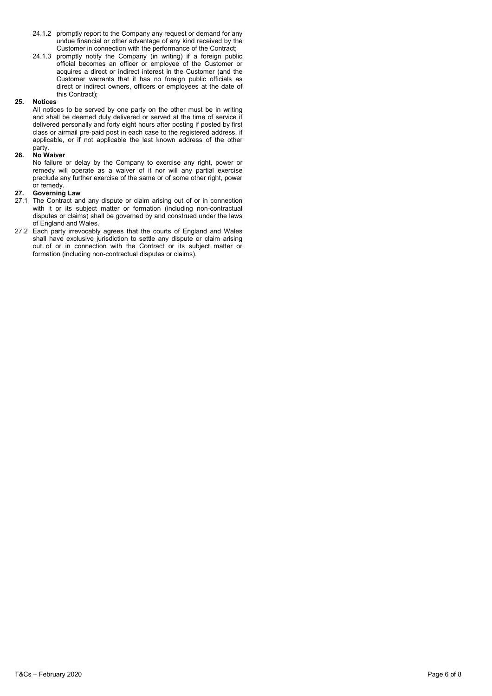- 24.1.2 promptly report to the Company any request or demand for any undue financial or other advantage of any kind received by the Customer in connection with the performance of the Contract;
- 24.1.3 promptly notify the Company (in writing) if a foreign public official becomes an officer or employee of the Customer or acquires a direct or indirect interest in the Customer (and the Customer warrants that it has no foreign public officials as direct or indirect owners, officers or employees at the date of this Contract);

#### **25. Notices**

All notices to be served by one party on the other must be in writing and shall be deemed duly delivered or served at the time of service if delivered personally and forty eight hours after posting if posted by first class or airmail pre-paid post in each case to the registered address, if applicable, or if not applicable the last known address of the other party.

## **26. No Waiver**

No failure or delay by the Company to exercise any right, power or remedy will operate as a waiver of it nor will any partial exercise preclude any further exercise of the same or of some other right, power or remedy.

#### **27. Governing Law**

- 27.1 The Contract and any dispute or claim arising out of or in connection with it or its subject matter or formation (including non-contractual disputes or claims) shall be governed by and construed under the laws of England and Wales.
- 27.2 Each party irrevocably agrees that the courts of England and Wales shall have exclusive jurisdiction to settle any dispute or claim arising out of or in connection with the Contract or its subject matter or formation (including non-contractual disputes or claims).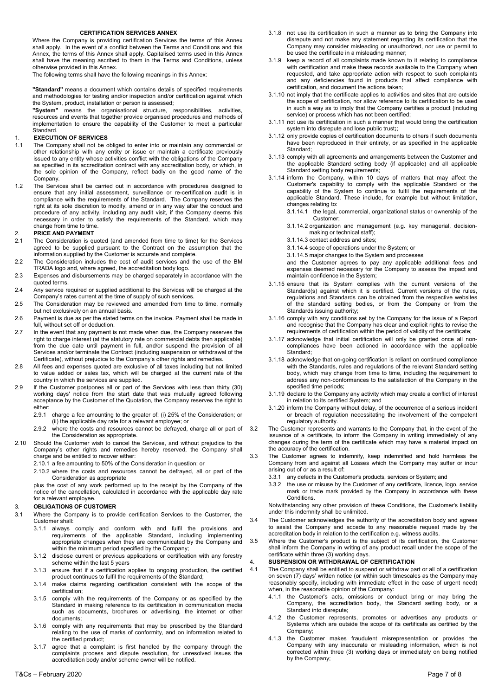#### **CERTIFICATION SERVICES ANNEX**

Where the Company is providing certification Services the terms of this Annex shall apply. In the event of a conflict between the Terms and Conditions and this Annex, the terms of this Annex shall apply. Capitalised terms used in this Annex shall have the meaning ascribed to them in the Terms and Conditions, unless otherwise provided in this Annex.

The following terms shall have the following meanings in this Annex:

**"Standard"** means a document which contains details of specified requirements and methodologies for testing and/or inspection and/or certification against which the System, product, installation or person is assessed;

**"System"** means the organisational structure, responsibilities, activities, resources and events that together provide organised procedures and methods of implementation to ensure the capability of the Customer to meet a particular Standard.

#### 1. **EXECUTION OF SERVICES**

- 1.1 The Company shall not be obliged to enter into or maintain any commercial or other relationship with any entity or issue or maintain a certificate previously issued to any entity whose activities conflict with the obligations of the Company as specified in its accreditation contract with any accreditation body, or which, in the sole opinion of the Company, reflect badly on the good name of the Company.
- 1.2 The Services shall be carried out in accordance with procedures designed to ensure that any initial assessment, surveillance or re-certification audit is in compliance with the requirements of the Standard. The Company reserves the right at its sole discretion to modify, amend or in any way alter the conduct and procedure of any activity, including any audit visit, if the Company deems this necessary in order to satisfy the requirements of the Standard, which may change from time to time.

#### 2. **PRICE AND PAYMENT**

- 2.1 The Consideration is quoted (and amended from time to time) for the Services agreed to be supplied pursuant to the Contract on the assumption that the information supplied by the Customer is accurate and complete.
- 2.2 The Consideration includes the cost of audit services and the use of the BM TRADA logo and, where agreed, the accreditation body logo.
- 2.3 Expenses and disbursements may be charged separately in accordance with the quoted terms.
- 2.4 Any service required or supplied additional to the Services will be charged at the Company's rates current at the time of supply of such services.
- 2.5 The Consideration may be reviewed and amended from time to time, normally but not exclusively on an annual basis.
- 2.6 Payment is due as per the stated terms on the invoice. Payment shall be made in full, without set off or deduction.
- 2.7 In the event that any payment is not made when due, the Company reserves the right to charge interest (at the statutory rate on commercial debts then applicable) from the due date until payment in full, and/or suspend the provision of all Services and/or terminate the Contract (including suspension or withdrawal of the Certificate), without prejudice to the Company's other rights and remedies.
- 2.8 All fees and expenses quoted are exclusive of all taxes including but not limited to value added or sales tax, which will be charged at the current rate of the country in which the services are supplied.
- 2.9 If the Customer postpones all or part of the Services with less than thirty (30) working days' notice from the start date that was mutually agreed following acceptance by the Customer of the Quotation, the Company reserves the right to either:
	- 2.9.1 charge a fee amounting to the greater of: (i) 25% of the Consideration; or (ii) the applicable day rate for a relevant employee; or
	- 2.9.2 where the costs and resources cannot be defrayed, charge all or part of the Consideration as appropriate.
- 2.10 Should the Customer wish to cancel the Services, and without prejudice to the Company's other rights and remedies hereby reserved, the Company shall charge and be entitled to recover either:
	- 2.10.1 a fee amounting to 50% of the Consideration in question; or
	- 2.10.2 where the costs and resources cannot be defrayed, all or part of the Consideration as appropriate

plus the cost of any work performed up to the receipt by the Company of the notice of the cancellation, calculated in accordance with the applicable day rate for a relevant employee.

#### 3. **OBLIGATIONS OF CUSTOMER**

- 3.1 Where the Company is to provide certification Services to the Customer, the Customer shall:
	- 3.1.1 always comply and conform with and fulfil the provisions and requirements of the applicable Standard, including implementing appropriate changes when they are communicated by the Company and within the minimum period specified by the Company;
	- 3.1.2 disclose current or previous applications or certification with any forestry scheme within the last 5 years
	- 3.1.3 ensure that if a certification applies to ongoing production, the certified product continues to fulfil the requirements of the Standard;
	- 3.1.4 make claims regarding certification consistent with the scope of the certification;
	- 3.1.5 comply with the requirements of the Company or as specified by the Standard in making reference to its certification in communication media such as documents, brochures or advertising, the internet or other documents;
	- 3.1.6 comply with any requirements that may be prescribed by the Standard relating to the use of marks of conformity, and on information related to the certified product;
	- 3.1.7 agree that a complaint is first handled by the company through the complaints process and dispute resolution, for unresolved issues the accreditation body and/or scheme owner will be notified.
- 3.1.8 not use its certification in such a manner as to bring the Company into disrepute and not make any statement regarding its certification that the Company may consider misleading or unauthorized, nor use or permit to be used the certificate in a misleading manner;
- 3.1.9 keep a record of all complaints made known to it relating to compliance with certification and make these records available to the Company when requested, and take appropriate action with respect to such complaints and any deficiencies found in products that affect compliance with certification, and document the actions taken;
- 3.1.10 not imply that the certificate applies to activities and sites that are outside the scope of certification, nor allow reference to its certification to be used in such a way as to imply that the Company certifies a product (including service) or process which has not been certified;
- 3.1.11 not use its certification in such a manner that would bring the certification system into disrepute and lose public trust**;**;
- 3.1.12 only provide copies of certification documents to others if such documents have been reproduced in their entirety, or as specified in the applicable Standard;
- 3.1.13 comply with all agreements and arrangements between the Customer and the applicable Standard setting body (if applicable) and all applicable Standard setting body requirements;
- 3.1.14 inform the Company, within 10 days of matters that may affect the Customer's capability to comply with the applicable Standard or the capability of the System to continue to fulfil the requirements of the applicable Standard. These include, for example but without limitation, changes relating to:

3.1.14.1 the legal, commercial, organizational status or ownership of the Customer;

- 3.1.14.2 organization and management (e.g. key managerial, decisionmaking or technical staff);
- 3.1.14.3 contact address and sites;
- 3.1.14.4 scope of operations under the System; or
- 3.1.14.5 major changes to the System and processes

and the Customer agrees to pay any applicable additional fees and expenses deemed necessary for the Company to assess the impact and maintain confidence in the System;

- 3.1.15 ensure that its System complies with the current versions of the Standard(s) against which it is certified. Current versions of the rules, regulations and Standards can be obtained from the respective websites of the standard setting bodies, or from the Company or from the Standards issuing authority;
- 3.1.16 comply with any conditions set by the Company for the issue of a Report and recognise that the Company has clear and explicit rights to revise the requirements of certification within the period of validity of the certificate;
- 3.1.17 acknowledge that initial certification will only be granted once all noncompliances have been actioned in accordance with the applicable Standard;
- 3.1.18 acknowledge that on-going certification is reliant on continued compliance with the Standards, rules and regulations of the relevant Standard setting body, which may change from time to time, including the requirement to address any non-conformances to the satisfaction of the Company in the specified time periods;
- 3.1.19 declare to the Company any activity which may create a conflict of interest in relation to its certified System; and
- 3.1.20 inform the Company without delay, of the occurrence of a serious incident or breach of regulation necessitating the involvement of the competent regulatory authority.
- 3.2 The Customer represents and warrants to the Company that, in the event of the issuance of a certificate, to inform the Company in writing immediately of any changes during the term of the certificate which may have a material impact on the accuracy of the certification.
- 3.3 The Customer agrees to indemnify, keep indemnified and hold harmless the Company from and against all Losses which the Company may suffer or incur arising out of or as a result of:
	- 3.3.1 any defects in the Customer's products, services or System; and
	- 3.3.2 the use or misuse by the Customer of any certificate, licence, logo, service mark or trade mark provided by the Company in accordance with these Conditions.

Notwithstanding any other provision of these Conditions, the Customer's liability under this indemnity shall be unlimited.

- 3.4 The Customer acknowledges the authority of the accreditation body and agrees to assist the Company and accede to any reasonable request made by the accreditation body in relation to the certification e.g. witness audits.
- 3.5 Where the Customer's product is the subject of its certification, the Customer shall inform the Company in writing of any product recall under the scope of the certificate within three (3) working days.

#### 4. **SUSPENSION OR WITHDRAWAL OF CERTIFICATION**

- 4.1 The Company shall be entitled to suspend or withdraw part or all of a certification on seven (7) days' written notice (or within such timescales as the Company may reasonably specify, including with immediate effect in the case of urgent need) when, in the reasonable opinion of the Company:
	- 4.1.1 the Customer's acts, omissions or conduct bring or may bring the Company, the accreditation body, the Standard setting body, or a Standard into disrepute;
	- 4.1.2 the Customer represents, promotes or advertises any products or Systems which are outside the scope of its certificate as certified by the Company;
	- 4.1.3 the Customer makes fraudulent misrepresentation or provides the Company with any inaccurate or misleading information, which is not corrected within three (3) working days or immediately on being notified by the Company;